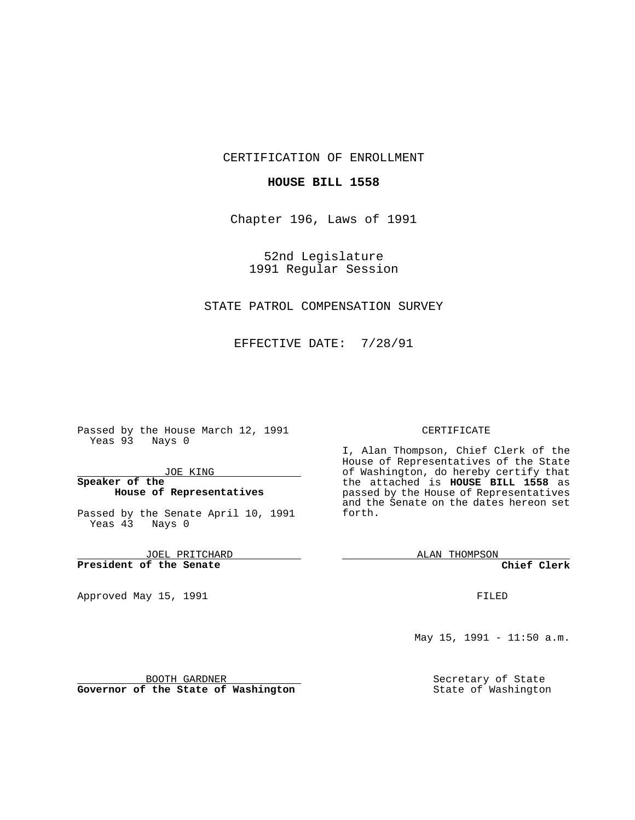CERTIFICATION OF ENROLLMENT

### **HOUSE BILL 1558**

Chapter 196, Laws of 1991

52nd Legislature 1991 Regular Session

# STATE PATROL COMPENSATION SURVEY

EFFECTIVE DATE: 7/28/91

Passed by the House March 12, 1991 Yeas 93 Nays 0

JOE KING

## **Speaker of the House of Representatives**

Passed by the Senate April 10, 1991 Yeas 43 Nays 0

JOEL PRITCHARD **President of the Senate**

Approved May 15, 1991

#### CERTIFICATE

I, Alan Thompson, Chief Clerk of the House of Representatives of the State of Washington, do hereby certify that the attached is **HOUSE BILL 1558** as passed by the House of Representatives and the Senate on the dates hereon set forth.

ALAN THOMPSON

**Chief Clerk**

FILED

May 15, 1991 - 11:50 a.m.

Secretary of State State of Washington

BOOTH GARDNER

**Governor of the State of Washington**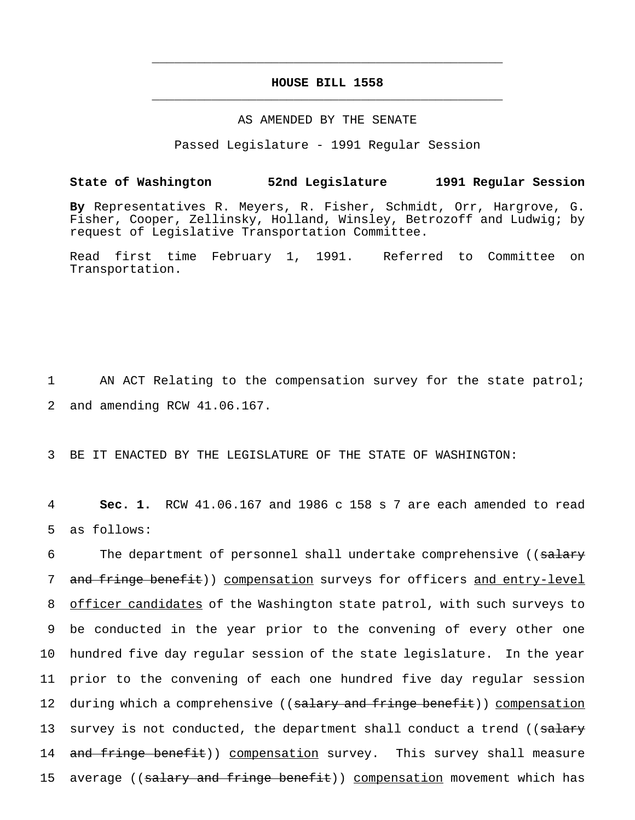# **HOUSE BILL 1558** \_\_\_\_\_\_\_\_\_\_\_\_\_\_\_\_\_\_\_\_\_\_\_\_\_\_\_\_\_\_\_\_\_\_\_\_\_\_\_\_\_\_\_\_\_\_\_

\_\_\_\_\_\_\_\_\_\_\_\_\_\_\_\_\_\_\_\_\_\_\_\_\_\_\_\_\_\_\_\_\_\_\_\_\_\_\_\_\_\_\_\_\_\_\_

#### AS AMENDED BY THE SENATE

Passed Legislature - 1991 Regular Session

## **State of Washington 52nd Legislature 1991 Regular Session**

**By** Representatives R. Meyers, R. Fisher, Schmidt, Orr, Hargrove, G. Fisher, Cooper, Zellinsky, Holland, Winsley, Betrozoff and Ludwig; by request of Legislative Transportation Committee.

Read first time February 1, 1991. Referred to Committee on Transportation.

1 AN ACT Relating to the compensation survey for the state patrol; 2 and amending RCW 41.06.167.

3 BE IT ENACTED BY THE LEGISLATURE OF THE STATE OF WASHINGTON:

4 **Sec. 1.** RCW 41.06.167 and 1986 c 158 s 7 are each amended to read 5 as follows:

6 The department of personnel shall undertake comprehensive ((salary 7 and fringe benefit)) compensation surveys for officers and entry-level 8 officer candidates of the Washington state patrol, with such surveys to 9 be conducted in the year prior to the convening of every other one 10 hundred five day regular session of the state legislature. In the year 11 prior to the convening of each one hundred five day regular session 12 during which a comprehensive ((salary and fringe benefit)) compensation 13 survey is not conducted, the department shall conduct a trend ((salary 14 and fringe benefit)) compensation survey. This survey shall measure 15 average ((salary and fringe benefit)) compensation movement which has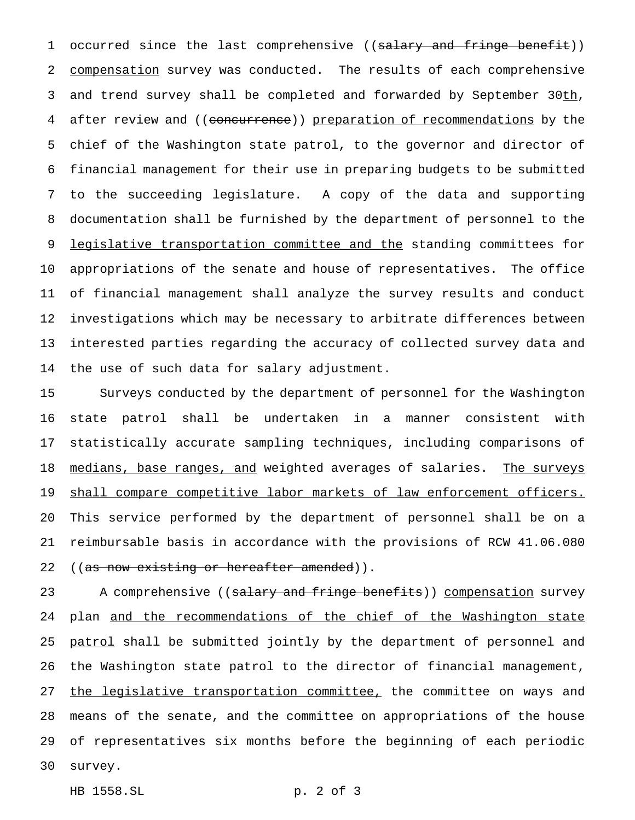1 occurred since the last comprehensive ((salary and fringe benefit)) 2 compensation survey was conducted. The results of each comprehensive 3 and trend survey shall be completed and forwarded by September 30th, after review and ((concurrence)) preparation of recommendations by the chief of the Washington state patrol, to the governor and director of financial management for their use in preparing budgets to be submitted to the succeeding legislature. A copy of the data and supporting documentation shall be furnished by the department of personnel to the 9 legislative transportation committee and the standing committees for appropriations of the senate and house of representatives. The office of financial management shall analyze the survey results and conduct investigations which may be necessary to arbitrate differences between interested parties regarding the accuracy of collected survey data and the use of such data for salary adjustment.

 Surveys conducted by the department of personnel for the Washington state patrol shall be undertaken in a manner consistent with statistically accurate sampling techniques, including comparisons of 18 medians, base ranges, and weighted averages of salaries. The surveys 19 shall compare competitive labor markets of law enforcement officers. This service performed by the department of personnel shall be on a reimbursable basis in accordance with the provisions of RCW 41.06.080 22 ((as now existing or hereafter amended)).

23 A comprehensive ((salary and fringe benefits)) compensation survey 24 plan and the recommendations of the chief of the Washington state 25 patrol shall be submitted jointly by the department of personnel and the Washington state patrol to the director of financial management, 27 the legislative transportation committee, the committee on ways and means of the senate, and the committee on appropriations of the house of representatives six months before the beginning of each periodic survey.

HB 1558.SL p. 2 of 3